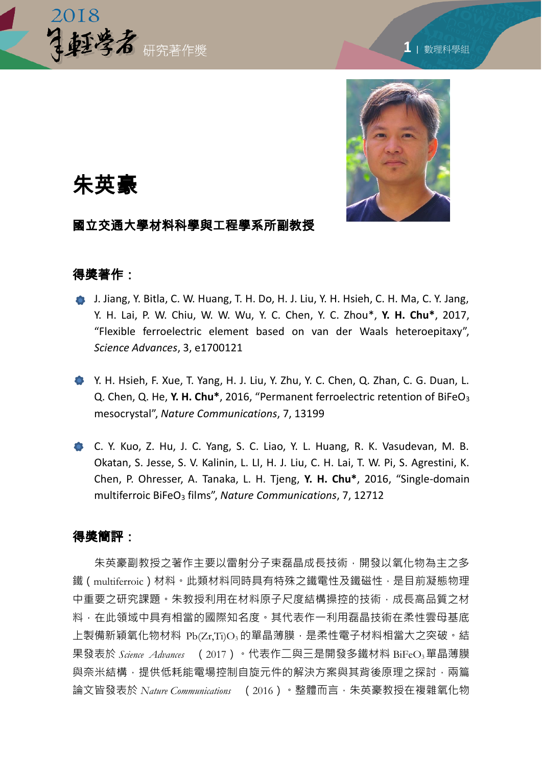



# 朱英豪

## 國立交通大學材料科學與工程學系所副教授

### 得獎著作:

- J. Jiang, Y. Bitla, C. W. Huang, T. H. Do, H. J. Liu, Y. H. Hsieh, C. H. Ma, C. Y. Jang, Y. H. Lai, P. W. Chiu, W. W. Wu, Y. C. Chen, Y. C. Zhou\*, **Y. H. Chu\***, 2017, "Flexible ferroelectric element based on van der Waals heteroepitaxy", *Science Advances*, 3, e1700121
- Y. H. Hsieh, F. Xue, T. Yang, H. J. Liu, Y. Zhu, Y. C. Chen, Q. Zhan, C. G. Duan, L. Q. Chen, Q. He, Y. H. Chu<sup>\*</sup>, 2016, "Permanent ferroelectric retention of BiFeO<sub>3</sub> mesocrystal", *Nature Communications*, 7, 13199
- C. Y. Kuo, Z. Hu, J. C. Yang, S. C. Liao, Y. L. Huang, R. K. Vasudevan, M. B. Okatan, S. Jesse, S. V. Kalinin, L. LI, H. J. Liu, C. H. Lai, T. W. Pi, S. Agrestini, K. Chen, P. Ohresser, A. Tanaka, L. H. Tjeng, **Y. H. Chu\***, 2016, "Single-domain multiferroic BiFeO<sup>3</sup> films", *Nature Communications*, 7, 12712

#### 得獎簡評:

朱英豪副教授之著作主要以雷射分子束磊晶成長技術,開發以氧化物為主之多 鐵(multiferroic)材料。此類材料同時具有特殊之鐵電性及鐵磁性,是目前凝態物理 中重要之研究課題。朱教授利用在材料原子尺度結構操控的技術,成長高品質之材 料,在此領域中具有相當的國際知名度。其代表作一利用磊晶技術在柔性雲母基底 上製備新穎氧化物材料 Pb(Zr,Ti)O3 的單晶薄膜,是柔性電子材料相當大之突破。結 果發表於 Science Advances (2017)。代表作二與三是開發多鐵材料 BiFeO<sub>3</sub>單晶薄膜 與奈米結構,提供低耗能電場控制自旋元件的解決方案與其背後原理之探討,兩篇 論文皆發表於 *Nature Communications* ( 2016 )。整體而言,朱英豪教授在複雜氧化物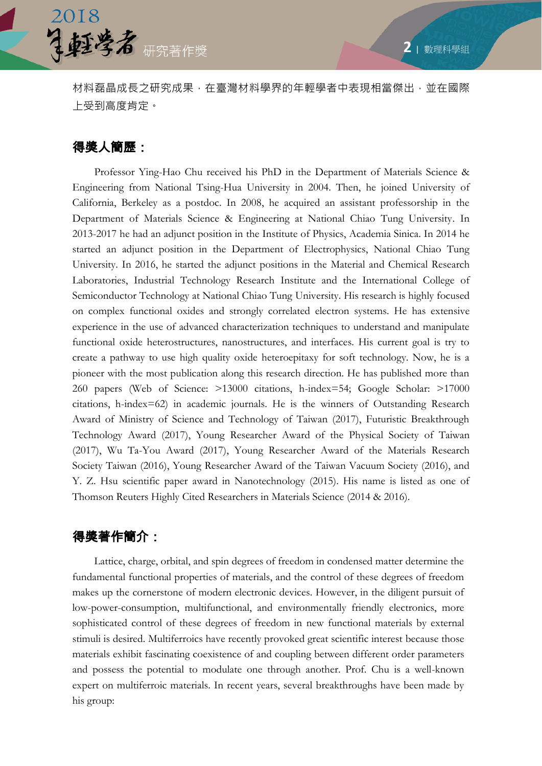



材料磊晶成長之研究成果,在臺灣材料學界的年輕學者中表現相當傑出,並在國際 上受到高度肯定。

# 得獎人簡歷:

 Professor Ying-Hao Chu received his PhD in the Department of Materials Science & Engineering from National Tsing-Hua University in 2004. Then, he joined University of California, Berkeley as a postdoc. In 2008, he acquired an assistant professorship in the Department of Materials Science & Engineering at National Chiao Tung University. In 2013-2017 he had an adjunct position in the Institute of Physics, Academia Sinica. In 2014 he started an adjunct position in the Department of Electrophysics, National Chiao Tung University. In 2016, he started the adjunct positions in the Material and Chemical Research Laboratories, Industrial Technology Research Institute and the International College of Semiconductor Technology at National Chiao Tung University. His research is highly focused on complex functional oxides and strongly correlated electron systems. He has extensive experience in the use of advanced characterization techniques to understand and manipulate functional oxide heterostructures, nanostructures, and interfaces. His current goal is try to create a pathway to use high quality oxide heteroepitaxy for soft technology. Now, he is a pioneer with the most publication along this research direction. He has published more than 260 papers (Web of Science: >13000 citations, h-index=54; Google Scholar: >17000 citations, h-index=62) in academic journals. He is the winners of Outstanding Research Award of Ministry of Science and Technology of Taiwan (2017), Futuristic Breakthrough Technology Award (2017), Young Researcher Award of the Physical Society of Taiwan (2017), Wu Ta-You Award (2017), Young Researcher Award of the Materials Research Society Taiwan (2016), Young Researcher Award of the Taiwan Vacuum Society (2016), and Y. Z. Hsu scientific paper award in Nanotechnology (2015). His name is listed as one of Thomson Reuters Highly Cited Researchers in Materials Science (2014 & 2016).

## 得獎著作簡介:

Lattice, charge, orbital, and spin degrees of freedom in condensed matter determine the fundamental functional properties of materials, and the control of these degrees of freedom makes up the cornerstone of modern electronic devices. However, in the diligent pursuit of low-power-consumption, multifunctional, and environmentally friendly electronics, more sophisticated control of these degrees of freedom in new functional materials by external stimuli is desired. Multiferroics have recently provoked great scientific interest because those materials exhibit fascinating coexistence of and coupling between different order parameters and possess the potential to modulate one through another. Prof. Chu is a well-known expert on multiferroic materials. In recent years, several breakthroughs have been made by his group: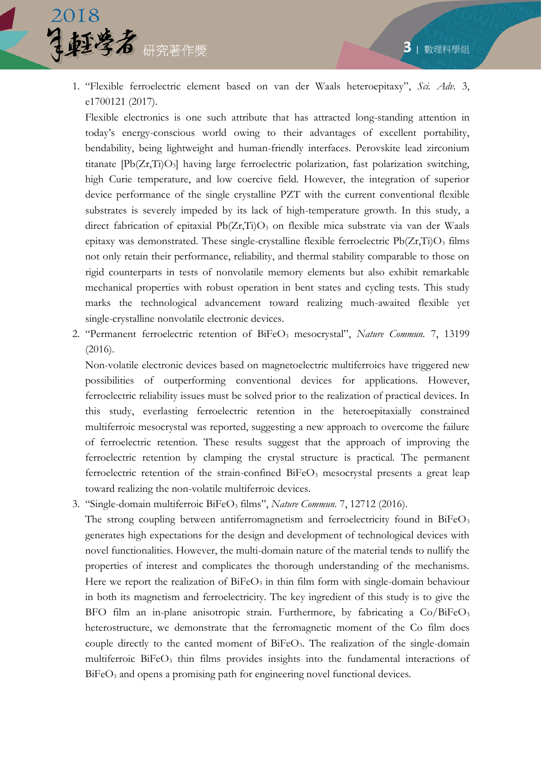

1. "Flexible ferroelectric element based on van der Waals heteroepitaxy", *Sci. Adv.* 3, e1700121 (2017).

Flexible electronics is one such attribute that has attracted long-standing attention in today's energy-conscious world owing to their advantages of excellent portability, bendability, being lightweight and human-friendly interfaces. Perovskite lead zirconium titanate [Pb(Zr,Ti)O3] having large ferroelectric polarization, fast polarization switching, high Curie temperature, and low coercive field. However, the integration of superior device performance of the single crystalline PZT with the current conventional flexible substrates is severely impeded by its lack of high-temperature growth. In this study, a direct fabrication of epitaxial  $Pb(Zr,Ti)O<sub>3</sub>$  on flexible mica substrate via van der Waals epitaxy was demonstrated. These single-crystalline flexible ferroelectric  $Pb(Zr,Ti)O<sub>3</sub>$  films not only retain their performance, reliability, and thermal stability comparable to those on rigid counterparts in tests of nonvolatile memory elements but also exhibit remarkable mechanical properties with robust operation in bent states and cycling tests. This study marks the technological advancement toward realizing much-awaited flexible yet single-crystalline nonvolatile electronic devices.

2. "Permanent ferroelectric retention of BiFeO<sub>3</sub> mesocrystal", *Nature Commun.* 7, 13199 (2016).

Non-volatile electronic devices based on magnetoelectric multiferroics have triggered new possibilities of outperforming conventional devices for applications. However, ferroelectric reliability issues must be solved prior to the realization of practical devices. In this study, everlasting ferroelectric retention in the heteroepitaxially constrained multiferroic mesocrystal was reported, suggesting a new approach to overcome the failure of ferroelectric retention. These results suggest that the approach of improving the ferroelectric retention by clamping the crystal structure is practical. The permanent ferroelectric retention of the strain-confined  $B$ iFeO<sub>3</sub> mesocrystal presents a great leap toward realizing the non-volatile multiferroic devices.

3. "Single-domain multiferroic BiFeO<sup>3</sup> films", *Nature Commun.* 7, 12712 (2016).

The strong coupling between antiferromagnetism and ferroelectricity found in  $BiFeO<sub>3</sub>$ generates high expectations for the design and development of technological devices with novel functionalities. However, the multi-domain nature of the material tends to nullify the properties of interest and complicates the thorough understanding of the mechanisms. Here we report the realization of  $BiFeO<sub>3</sub>$  in thin film form with single-domain behaviour in both its magnetism and ferroelectricity. The key ingredient of this study is to give the BFO film an in-plane anisotropic strain. Furthermore, by fabricating a Co/BiFeO<sub>3</sub> heterostructure, we demonstrate that the ferromagnetic moment of the Co film does couple directly to the canted moment of  $BiFeO<sub>3</sub>$ . The realization of the single-domain multiferroic BiFeO<sub>3</sub> thin films provides insights into the fundamental interactions of BiFeO<sub>3</sub> and opens a promising path for engineering novel functional devices.